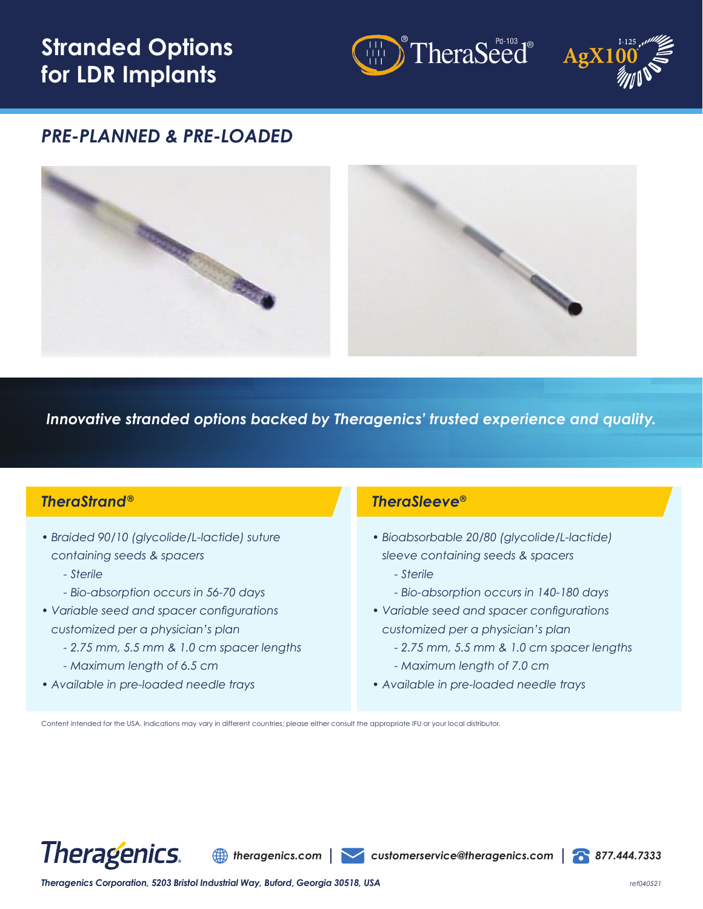# **Stranded Options for LDR Implants**





## *PRE-PLANNED & PRE-LOADED*



*Innovative stranded options backed by Theragenics' trusted experience and quality.*

### *TheraStrand®*

- *Braided 90/10 (glycolide/L-lactide) suture containing seeds & spacers*
	- *Sterile*
	- *Bio-absorption occurs in 56-70 days*
- *Variable seed and spacer configurations customized per a physician's plan*
	- *2.75 mm, 5.5 mm & 1.0 cm spacer lengths*
	- *Maximum length of 6.5 cm*
- *Available in pre-loaded needle trays*

#### *TheraSleeve®*

- *Bioabsorbable 20/80 (glycolide/L-lactide) sleeve containing seeds & spacers*
	- *Sterile*
	- *Bio-absorption occurs in 140-180 days*
- *Variable seed and spacer configurations customized per a physician's plan*
	- *2.75 mm, 5.5 mm & 1.0 cm spacer lengths*
	- *Maximum length of 7.0 cm*
- *Available in pre-loaded needle trays*

Content intended for the USA. Indications may vary in different countries; please either consult the appropriate IFU or your local distributor.